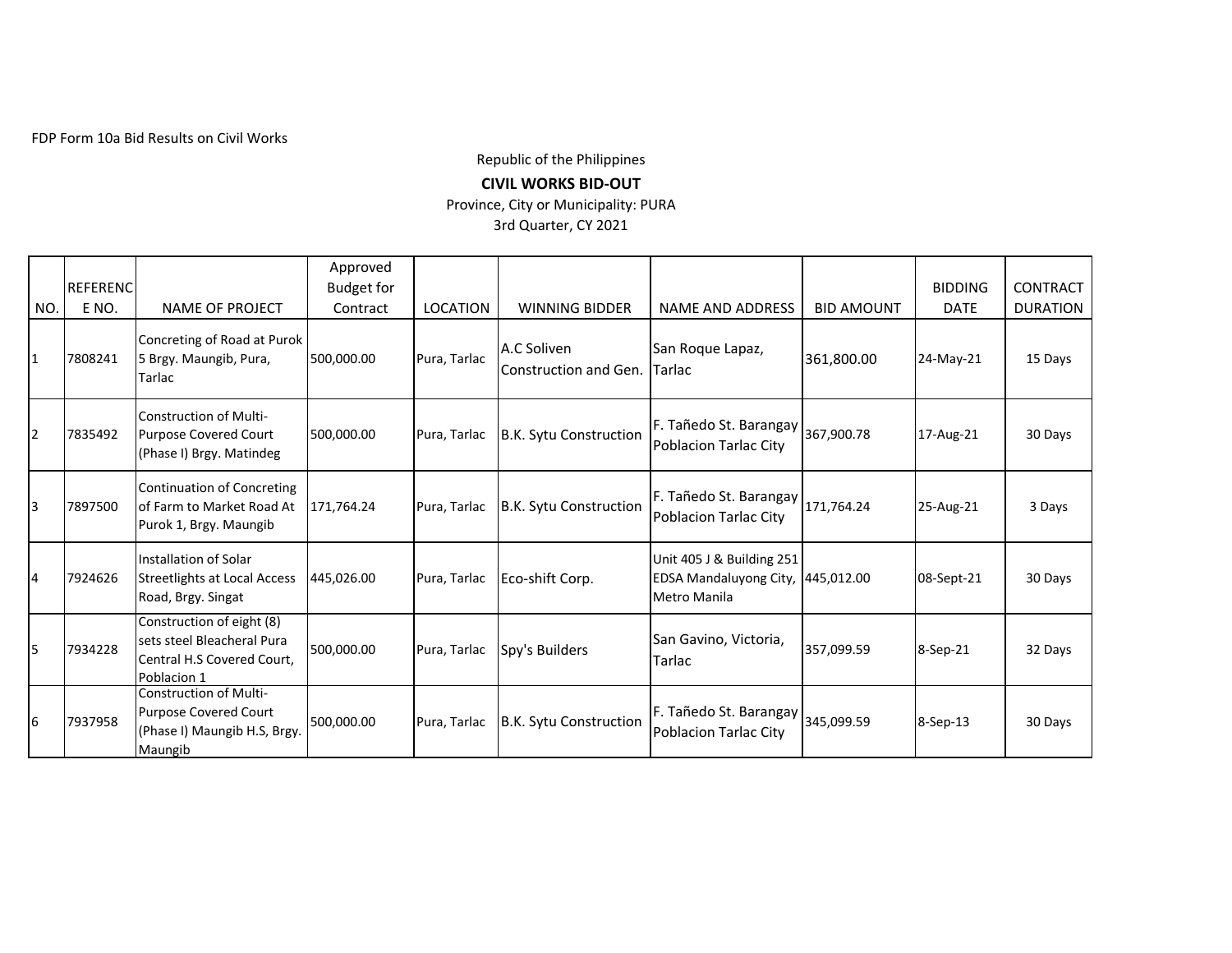FDP Form 10a Bid Results on Civil Works

Republic of the Philippines

## **CIVIL WORKS BID-OUT**

Province, City or Municipality: PURA

3rd Quarter, CY 2021

|     |                 |                                                                                                      | Approved          |                 |                                      |                                                                                |                   |                |                 |
|-----|-----------------|------------------------------------------------------------------------------------------------------|-------------------|-----------------|--------------------------------------|--------------------------------------------------------------------------------|-------------------|----------------|-----------------|
|     | <b>REFERENC</b> |                                                                                                      | <b>Budget for</b> |                 |                                      |                                                                                |                   | <b>BIDDING</b> | <b>CONTRACT</b> |
| NO. | E NO.           | NAME OF PROJECT                                                                                      | Contract          | <b>LOCATION</b> | <b>WINNING BIDDER</b>                | <b>NAME AND ADDRESS</b>                                                        | <b>BID AMOUNT</b> | <b>DATE</b>    | <b>DURATION</b> |
| 1   | 7808241         | Concreting of Road at Purok<br>5 Brgy. Maungib, Pura,<br>Tarlac                                      | 500,000.00        | Pura, Tarlac    | A.C Soliven<br>Construction and Gen. | San Roque Lapaz,<br><b>Tarlac</b>                                              | 361,800.00        | 24-May-21      | 15 Days         |
| 2   | 7835492         | Construction of Multi-<br><b>Purpose Covered Court</b><br>(Phase I) Brgy. Matindeg                   | 500,000.00        | Pura, Tarlac    | B.K. Sytu Construction               | F. Tañedo St. Barangay<br>Poblacion Tarlac City                                | 367,900.78        | 17-Aug-21      | 30 Days         |
| 3   | 7897500         | Continuation of Concreting<br>of Farm to Market Road At<br>Purok 1, Brgy. Maungib                    | 171,764.24        | Pura, Tarlac    | B.K. Sytu Construction               | F. Tañedo St. Barangay   171,764.24<br><b>Poblacion Tarlac City</b>            |                   | 25-Aug-21      | 3 Days          |
| 4   | 7924626         | Installation of Solar<br><b>Streetlights at Local Access</b><br>Road, Brgy. Singat                   | 445,026.00        | Pura, Tarlac    | Eco-shift Corp.                      | Unit 405 J & Building 251<br>EDSA Mandaluyong City, 445,012.00<br>Metro Manila |                   | 08-Sept-21     | 30 Days         |
| 5   | 7934228         | Construction of eight (8)<br>sets steel Bleacheral Pura<br>Central H.S Covered Court,<br>Poblacion 1 | 500,000.00        | Pura, Tarlac    | Spy's Builders                       | San Gavino, Victoria,<br>Tarlac                                                | 357,099.59        | 8-Sep-21       | 32 Days         |
| 6   | 7937958         | Construction of Multi-<br><b>Purpose Covered Court</b><br>(Phase I) Maungib H.S, Brgy.<br>Maungib    | 500,000.00        | Pura, Tarlac    | B.K. Sytu Construction               | F. Tañedo St. Barangay<br>Poblacion Tarlac City                                | 345,099.59        | 8-Sep-13       | 30 Days         |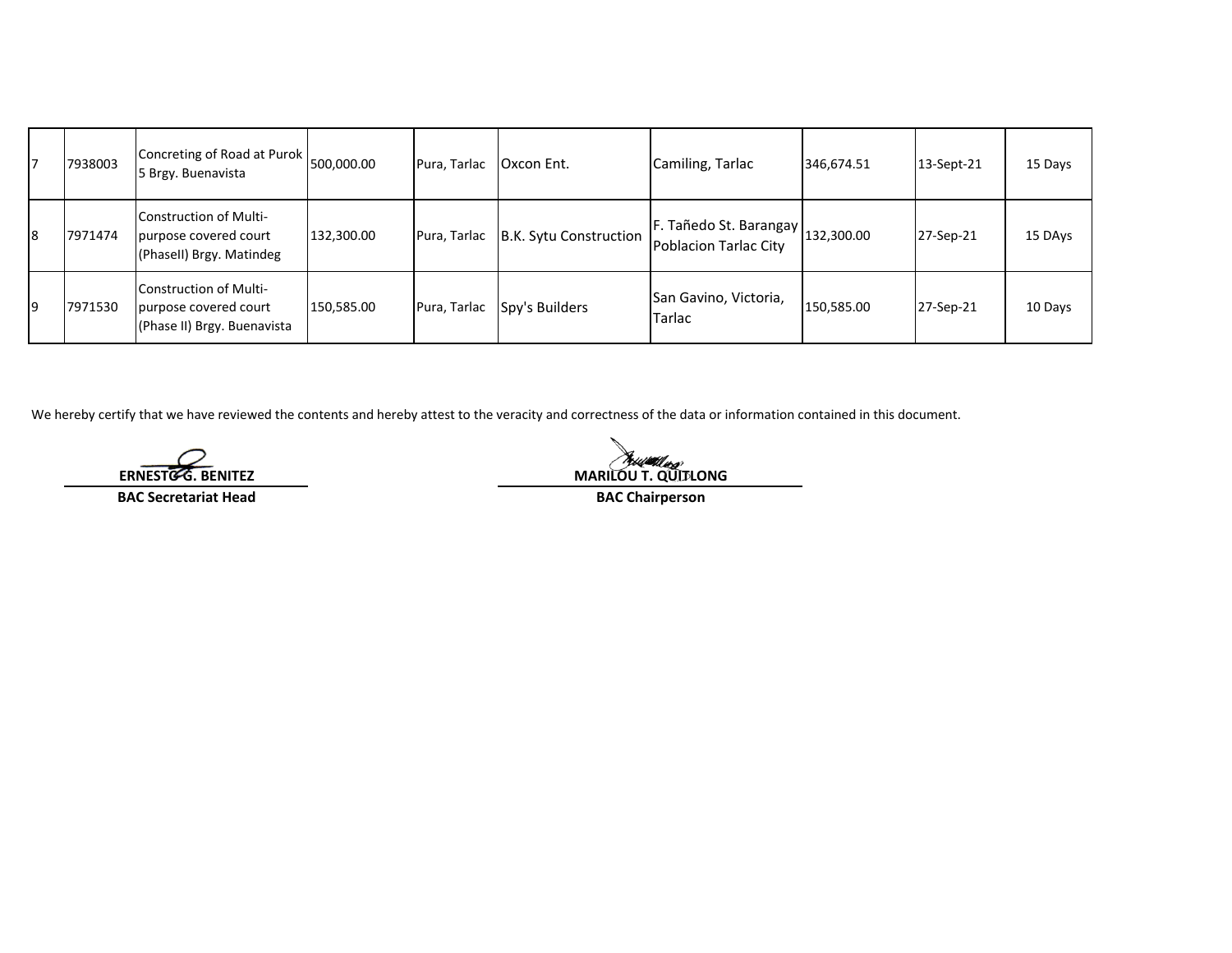|    | 7938003 | Concreting of Road at Purok 500,000.00<br>5 Brgy. Buenavista                   |            | Pura, Tarlac | Oxcon Ent.             | Camiling, Tarlac                                           | 346,674.51 | 13-Sept-21 | 15 Days |
|----|---------|--------------------------------------------------------------------------------|------------|--------------|------------------------|------------------------------------------------------------|------------|------------|---------|
| l8 | 7971474 | Construction of Multi-<br>purpose covered court<br>(Phasell) Brgy. Matindeg    | 132,300.00 | Pura, Tarlac | B.K. Sytu Construction | F. Tañedo St. Barangay 132,300.00<br>Poblacion Tarlac City |            | 27-Sep-21  | 15 DAys |
| 19 | 7971530 | Construction of Multi-<br>purpose covered court<br>(Phase II) Brgy. Buenavista | 150,585.00 | Pura, Tarlac | Spy's Builders         | San Gavino, Victoria,<br>Tarlac                            | 150,585.00 | 27-Sep-21  | 10 Days |

We hereby certify that we have reviewed the contents and hereby attest to the veracity and correctness of the data or information contained in this document.

**BAC Secretariat Head BAC Chairperson**

**ERNESTO G. BENITEZ**<br> **ERNESTO G. BENITEZ**<br> **MARILOU T. QUITLONG**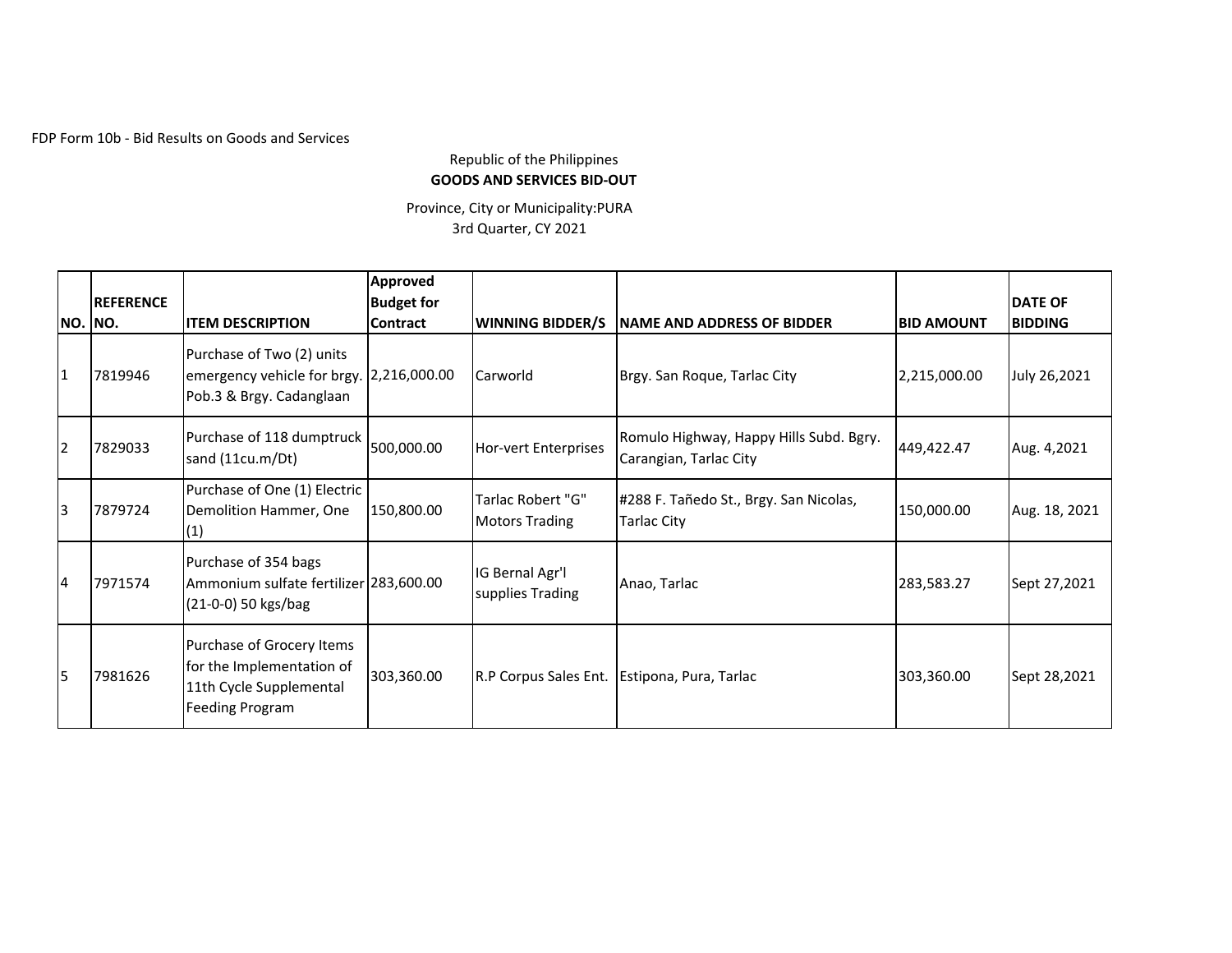FDP Form 10b - Bid Results on Goods and Services

## Republic of the Philippines **GOODS AND SERVICES BID-OUT**

Province, City or Municipality:PURA 3rd Quarter, CY 2021

| NO. NO.                 | <b>REFERENCE</b> | <b>IITEM DESCRIPTION</b>                                                                             | <b>Approved</b><br><b>Budget for</b><br><b>Contract</b> | <b>WINNING BIDDER/S</b>                    | NAME AND ADDRESS OF BIDDER                                        | <b>BID AMOUNT</b> | <b>DATE OF</b><br><b>BIDDING</b> |
|-------------------------|------------------|------------------------------------------------------------------------------------------------------|---------------------------------------------------------|--------------------------------------------|-------------------------------------------------------------------|-------------------|----------------------------------|
| $\overline{1}$          | 7819946          | Purchase of Two (2) units<br>emergency vehicle for brgy. 2,216,000.00<br>Pob.3 & Brgy. Cadanglaan    |                                                         | Carworld                                   | Brgy. San Roque, Tarlac City                                      | 2,215,000.00      | July 26,2021                     |
| $\overline{2}$          | 7829033          | Purchase of 118 dumptruck 500,000.00<br>sand (11cu.m/Dt)                                             |                                                         | Hor-vert Enterprises                       | Romulo Highway, Happy Hills Subd. Bgry.<br>Carangian, Tarlac City | 449,422.47        | Aug. 4,2021                      |
| $\overline{3}$          | 7879724          | Purchase of One (1) Electric<br>Demolition Hammer, One<br>(1)                                        | 150,800.00                                              | Tarlac Robert "G"<br><b>Motors Trading</b> | #288 F. Tañedo St., Brgy. San Nicolas,<br>Tarlac City             | 150,000.00        | Aug. 18, 2021                    |
| $\overline{4}$          | 7971574          | Purchase of 354 bags<br>Ammonium sulfate fertilizer 283,600.00<br>(21-0-0) 50 kgs/bag                |                                                         | IG Bernal Agr'l<br>supplies Trading        | Anao, Tarlac                                                      | 283,583.27        | Sept 27,2021                     |
| $\overline{\mathbf{5}}$ | 7981626          | Purchase of Grocery Items<br>for the Implementation of<br>11th Cycle Supplemental<br>Feeding Program | 303,360.00                                              |                                            | R.P Corpus Sales Ent. Estipona, Pura, Tarlac                      | 303,360.00        | Sept 28,2021                     |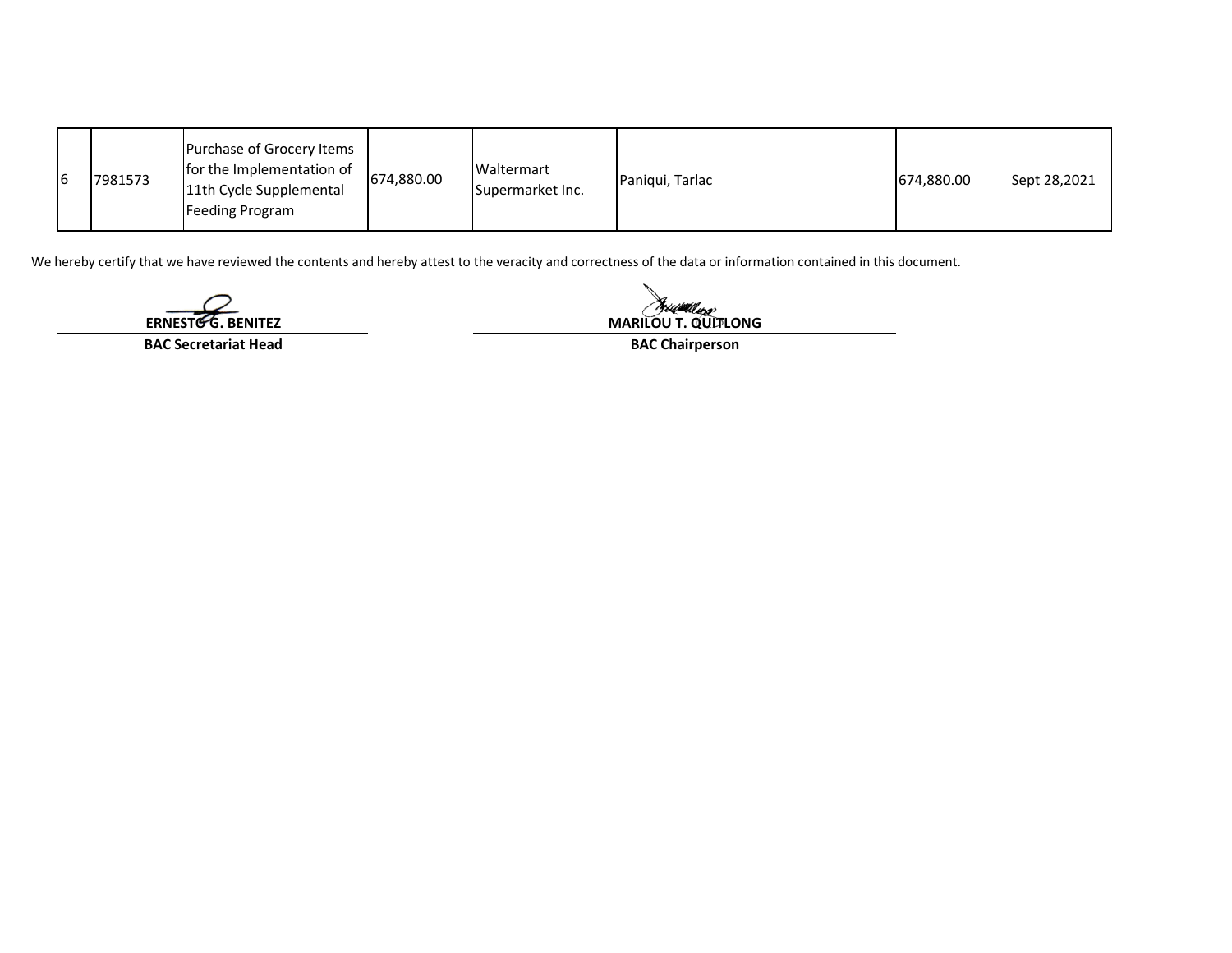| I6 | 7981573 | Purchase of Grocery Items<br>for the Implementation of<br>11th Cycle Supplemental<br>Feeding Program | 674,880.00 | Waltermart<br>Supermarket Inc. | Paniqui, Tarlac | 674,880.00 | Sept 28,2021 |
|----|---------|------------------------------------------------------------------------------------------------------|------------|--------------------------------|-----------------|------------|--------------|
|----|---------|------------------------------------------------------------------------------------------------------|------------|--------------------------------|-----------------|------------|--------------|

We hereby certify that we have reviewed the contents and hereby attest to the veracity and correctness of the data or information contained in this document.

**ERNESTO G. BENITEZ**

**BAC Secretariat Head**

Reservation **MARILOU T. QUITLONG**

**BAC Chairperson**